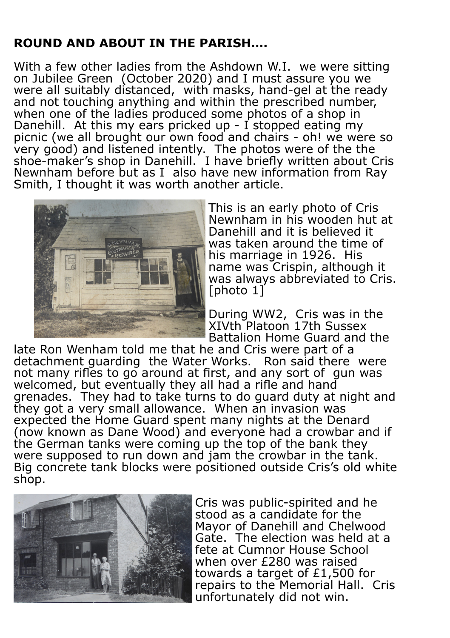## **ROUND AND ABOUT IN THE PARISH….**

With a few other ladies from the Ashdown W.I. we were sitting on Jubilee Green (October 2020) and I must assure you we were all suitably distanced, with masks, hand-gel at the ready and not touching anything and within the prescribed number, when one of the ladies produced some photos of a shop in Danehill. At this my ears pricked up - I stopped eating my picnic (we all brought our own food and chairs - oh! we were so very good) and listened intently. The photos were of the the shoe-maker's shop in Danehill. I have briefly written about Cris Newnham before but as I also have new information from Ray Smith, I thought it was worth another article.



This is an early photo of Cris Newnham in his wooden hut at Danehill and it is believed it was taken around the time of his marriage in 1926. His name was Crispin, although it was always abbreviated to Cris. [photo 1]

During WW2, Cris was in the XIVth Platoon 17th Sussex Battalion Home Guard and the

late Ron Wenham told me that he and Cris were part of a detachment guarding the Water Works. Ron said there were not many rifles to go around at first, and any sort of gun was welcomed, but eventually they all had a rifle and hand grenades. They had to take turns to do guard duty at night and they got a very small allowance. When an invasion was expected the Home Guard spent many nights at the Denard (now known as Dane Wood) and everyone had a crowbar and if the German tanks were coming up the top of the bank they were supposed to run down and jam the crowbar in the tank. Big concrete tank blocks were positioned outside Cris's old white shop.



Cris was public-spirited and he stood as a candidate for the Mayor of Danehill and Chelwood Gate. The election was held at a fete at Cumnor House School when over £280 was raised towards a target of £1,500 for repairs to the Memorial Hall. Cris unfortunately did not win.